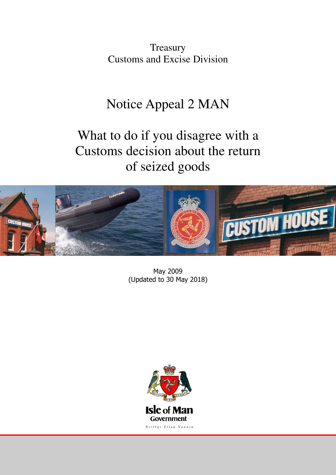**Treasury** Customs and Excise Division

## Notice Appeal 2 MAN

# What to do if you disagree with a Customs decision about the return of seized goods



May 2009 (Updated to 30 May 2018)

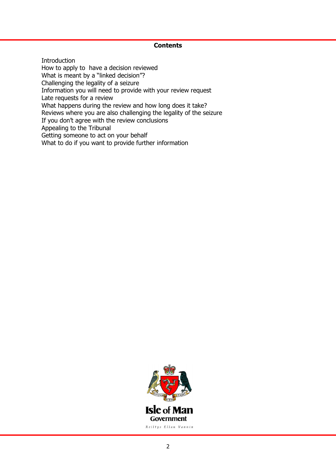#### **Contents**

**Introduction** How to apply to have a decision reviewed What is meant by a "linked decision"? Challenging the legality of a seizure Information you will need to provide with your review request Late requests for a review What happens during the review and how long does it take? Reviews where you are also challenging the legality of the seizure If you don't agree with the review conclusions Appealing to the Tribunal Getting someone to act on your behalf What to do if you want to provide further information

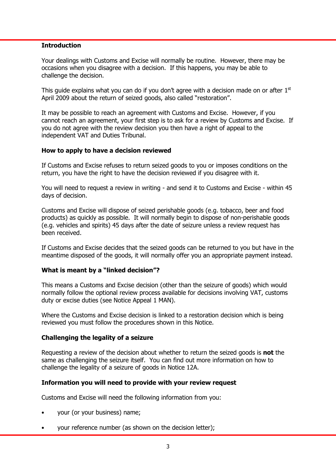#### **Introduction**

Your dealings with Customs and Excise will normally be routine. However, there may be occasions when you disagree with a decision. If this happens, you may be able to challenge the decision.

This guide explains what you can do if you don't agree with a decision made on or after  $1<sup>st</sup>$ April 2009 about the return of seized goods, also called "restoration".

It may be possible to reach an agreement with Customs and Excise. However, if you cannot reach an agreement, your first step is to ask for a review by Customs and Excise. If you do not agree with the review decision you then have a right of appeal to the independent VAT and Duties Tribunal.

#### How to apply to have a decision reviewed

If Customs and Excise refuses to return seized goods to you or imposes conditions on the return, you have the right to have the decision reviewed if you disagree with it.

You will need to request a review in writing - and send it to Customs and Excise - within 45 days of decision.

Customs and Excise will dispose of seized perishable goods (e.g. tobacco, beer and food products) as quickly as possible. It will normally begin to dispose of non-perishable goods (e.g. vehicles and spirits) 45 days after the date of seizure unless a review request has been received.

If Customs and Excise decides that the seized goods can be returned to you but have in the meantime disposed of the goods, it will normally offer you an appropriate payment instead.

#### What is meant by a "linked decision"?

This means a Customs and Excise decision (other than the seizure of goods) which would normally follow the optional review process available for decisions involving VAT, customs duty or excise duties (see Notice Appeal 1 MAN).

Where the Customs and Excise decision is linked to a restoration decision which is being reviewed you must follow the procedures shown in this Notice.

#### Challenging the legality of a seizure

Requesting a review of the decision about whether to return the seized goods is **not** the same as challenging the seizure itself. You can find out more information on how to challenge the legality of a seizure of goods in Notice 12A.

#### Information you will need to provide with your review request

Customs and Excise will need the following information from you:

- your (or your business) name;
- your reference number (as shown on the decision letter);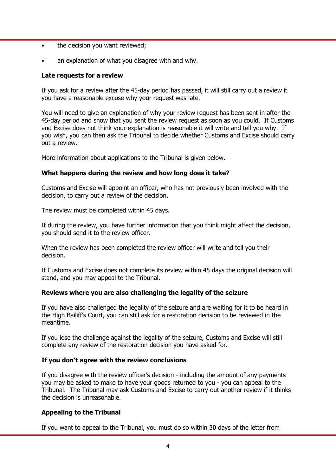- the decision you want reviewed;
- an explanation of what you disagree with and why.

#### Late requests for a review

If you ask for a review after the 45-day period has passed, it will still carry out a review it you have a reasonable excuse why your request was late.

You will need to give an explanation of why your review request has been sent in after the 45-day period and show that you sent the review request as soon as you could. If Customs and Excise does not think your explanation is reasonable it will write and tell you why. If you wish, you can then ask the Tribunal to decide whether Customs and Excise should carry out a review.

More information about applications to the Tribunal is given below.

#### What happens during the review and how long does it take?

Customs and Excise will appoint an officer, who has not previously been involved with the decision, to carry out a review of the decision.

The review must be completed within 45 days.

If during the review, you have further information that you think might affect the decision, you should send it to the review officer.

When the review has been completed the review officer will write and tell you their decision.

If Customs and Excise does not complete its review within 45 days the original decision will stand, and you may appeal to the Tribunal.

## Reviews where you are also challenging the legality of the seizure

If you have also challenged the legality of the seizure and are waiting for it to be heard in the High Bailiff's Court, you can still ask for a restoration decision to be reviewed in the meantime.

If you lose the challenge against the legality of the seizure, Customs and Excise will still complete any review of the restoration decision you have asked for.

#### If you don't agree with the review conclusions

If you disagree with the review officer's decision - including the amount of any payments you may be asked to make to have your goods returned to you - you can appeal to the Tribunal. The Tribunal may ask Customs and Excise to carry out another review if it thinks the decision is unreasonable.

## Appealing to the Tribunal

If you want to appeal to the Tribunal, you must do so within 30 days of the letter from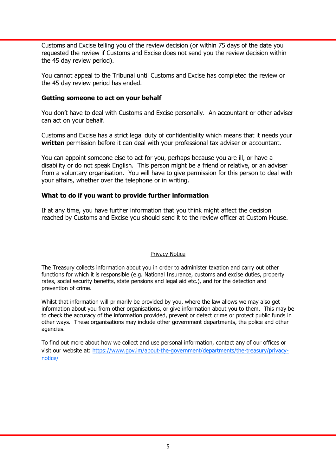Customs and Excise telling you of the review decision (or within 75 days of the date you requested the review if Customs and Excise does not send you the review decision within the 45 day review period).

You cannot appeal to the Tribunal until Customs and Excise has completed the review or the 45 day review period has ended.

#### Getting someone to act on your behalf

You don't have to deal with Customs and Excise personally. An accountant or other adviser can act on your behalf.

Customs and Excise has a strict legal duty of confidentiality which means that it needs your written permission before it can deal with your professional tax adviser or accountant.

You can appoint someone else to act for you, perhaps because you are ill, or have a disability or do not speak English. This person might be a friend or relative, or an adviser from a voluntary organisation. You will have to give permission for this person to deal with your affairs, whether over the telephone or in writing.

#### What to do if you want to provide further information

If at any time, you have further information that you think might affect the decision reached by Customs and Excise you should send it to the review officer at Custom House.

#### Privacy Notice

The Treasury collects information about you in order to administer taxation and carry out other functions for which it is responsible (e.g. National Insurance, customs and excise duties, property rates, social security benefits, state pensions and legal aid etc.), and for the detection and prevention of crime.

Whilst that information will primarily be provided by you, where the law allows we may also get information about you from other organisations, or give information about you to them. This may be to check the accuracy of the information provided, prevent or detect crime or protect public funds in other ways. These organisations may include other government departments, the police and other agencies.

To find out more about how we collect and use personal information, contact any of our offices or visit our website at: https://www.gov.im/about-the-government/departments/the-treasury/privacynotice/